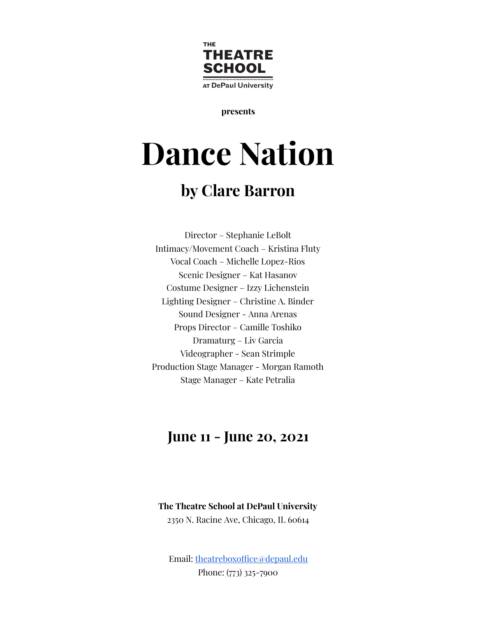

**presents**

# **Dance Nation**

## **by Clare Barron**

Director – Stephanie LeBolt Intimacy/Movement Coach – Kristina Fluty Vocal Coach – Michelle Lopez-Rios Scenic Designer – Kat Hasanov Costume Designer – Izzy Lichenstein Lighting Designer – Christine A. Binder Sound Designer - Anna Arenas Props Director – Camille Toshiko Dramaturg – Liv Garcia Videographer - Sean Strimple Production Stage Manager - Morgan Ramoth Stage Manager – Kate Petralia

### **June 11 - June 20, 2021**

**The Theatre School at DePaul University** 2350 N. Racine Ave, Chicago, IL 60614

Email: theatreboxoffice@depaul.edu Phone: (773) 325-7900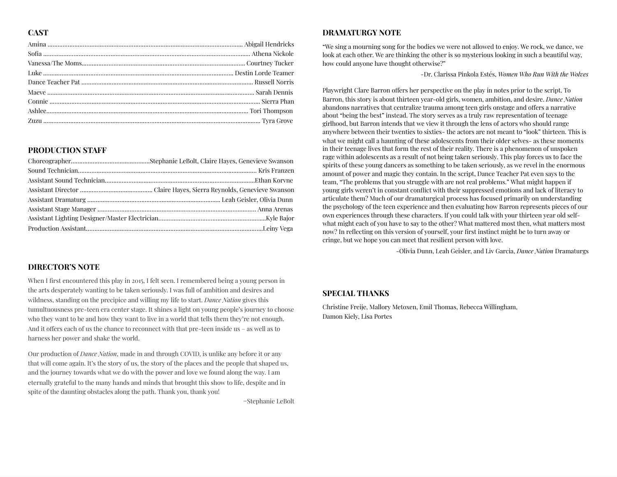#### **CAST**

#### **PRODUCTION STAFF**

#### **DIRECTOR'S NOTE**

When I first encountered this play in 2015, I felt seen. I remembered being a young person in the arts desperately wanting to be taken seriously. I was full of ambition and desires and wildness, standing on the precipice and willing my life to start. *Dance Nation* gives this tumultuousness pre-teen era center stage. It shines a light on young people's journey to choose who they want to be and how they want to live in a world that tells them they're not enough. And it offers each of us the chance to reconnect with that pre-teen inside us  $-$  as well as to harness her power and shake the world.

Our production of *Dance Nation*, made in and through COVID, is unlike any before it or any that will come again. It's the story of us, the story of the places and the people that shaped us, and the journey towards what we do with the power and love we found along the way. I am eternally grateful to the many hands and minds that brought this show to life, despite and in spite of the daunting obstacles along the path. Thank you, thank you!

=Stephanie LeBolt

#### **DRAMATURGY NOTE**

"We sing a mourning song for the bodies we were not allowed to enjoy. We rock, we dance, we look at each other. We are thinking the other is so mysterious looking in such a beautiful way, how could anyone have thought otherwise?"

-Dr. Clarissa Pinkola Estés, *Women Who Run With the Wolves*

Playwright Clare Barron offers her perspective on the play in notes prior to the script. To Barron, this story is about thirteen year-old girls, women, ambition, and desire. *Dance Nation* abandons narratives that centralize trauma among teen girls onstage and offers a narrative about "being the best" instead. The story serves as a truly raw representation of teenage girlhood, but Barron intends that we view it through the lens of actors who should range anywhere between their twenties to sixties- the actors are not meant to "look" thirteen. This is what we might call a haunting of these adolescents from their older selves- as these moments in their teenage lives that form the rest of their reality. There is a phenomenon of unspoken rage within adolescents as a result of not being taken seriously. This play forces us to face the spirits of these young dancers as something to be taken seriously, as we revel in the enormous amount of power and magic they contain. In the script, Dance Teacher Pat even says to the team, "The problems that you struggle with are not real problems." What might happen if young girls weren't in constant conflict with their suppressed emotions and lack of literacy to articulate them? Much of our dramaturgical process has focused primarily on understanding the psychology of the teen experience and then evaluating how Barron represents pieces of our own experiences through these characters. If you could talk with your thirteen year old selfwhat might each of you have to say to the other? What mattered most then, what matters most now? In reflecting on this version of yourself, your first instinct might be to turn away or cringe, but we hope you can meet that resilient person with love.

-Olivia Dunn, Leah Geisler, and Liv Garcia, *Dance Nation* Dramaturgs

#### **SPECIAL THANKS**

Christine Freije, Mallory Metoxen, Emil Thomas, Rebecca Willingham, Damon Kiely, Lisa Portes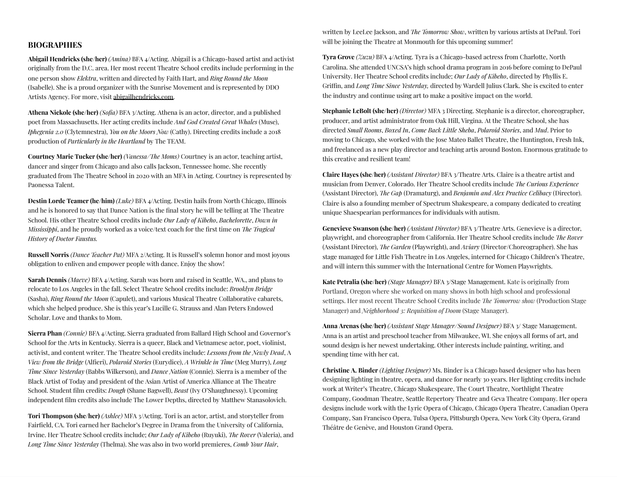#### **BIOGRAPHIES**

**Abigail Hendricks (she/her)** *(Amina)* BFA 4/Acting. Abigail is a Chicago-based artist and activist originally from the D.C. area. Her most recent Theatre School credits include performing in the one person show *Elektra* , written and directed by Faith Hart, and *Ring Round the Moon* (Isabelle). She is a proud organizer with the Sunrise Movement and is represented by DDO Artists Agency. For more, visit abigailhendricks.com .

**Athena Nickole (she/her)** *(Sofia)* BFA 3/Acting. Athena is an actor, director, and a published poet from Massachusetts. Her acting credits include *And God Created Great Whales* (Muse), *Iphegenia 2.0* (Clytemnestra), *You on the Moors Now* (Cathy). Directing credits include a 2018 production of *Particularly in the Heartland* by The TEAM.

**Courtney Marie Tucker (she/her)** *(Vanessa/The Moms)* Courtney is an actor, teaching artist, dancer and singer from Chicago and also calls Jackson, Tennessee home. She recently graduated from The Theatre School in 2020 with an MFA in Acting. Courtney is represented by Paonessa Talent.

**Destin Lorde Teamer (he/him)** *(Luke)* BFA 4/Acting. Destin hails from North Chicago, Illinois and he is honored to say that Dance Nation is the final story he will be telling at The Theatre School. His other Theatre School credits include *Our Lady of Kibeho*, *Bachelorette*, *Down in Mississibbi*, and he proudly worked as a voice/text coach for the first time on *The Tragical History of Doctor Faustus.*

**Russell Norris** *(Dance Teacher Pat)* MFA 2/Acting. It is Russell's solemn honor and most joyous obligation to enliven and empower people with dance. Enjoy the show!

**Sarah Dennis** *(Maeve)* BFA 4/Acting. Sarah was born and raised in Seattle, WA., and plans to relocate to Los Angeles in the fall. Select Theatre School credits include: *Brooklyn Bridge* (Sasha), *Ring Round the Moon* (Capulet), and various Musical Theatre Collaborative cabarets, which she helped produce. She is this year's Lucille G. Strauss and Alan Peters Endowed Scholar. Love and thanks to Mom.

**Sierra Phan** *(Connie)* BFA 4/Acting. Sierra graduated from Ballard High School and Governor's School for the Arts in Kentucky. Sierra is a queer, Black and Vietnamese actor, poet, violinist, activist, and content writer. The Theatre School credits include: *Lessons from the Newly Dead*, A *View from the Bridge* (Alfieri), *Polaroid Stories* (Eurydice), *A Wrinkle in Time* (Meg Murry), *Long Time Since Yesterday* (Babbs Wilkerson), and *Dance Nation* (Connie). Sierra is a member of the Black Artist of Today and president of the Asian Artist of America Alliance at The Theatre School. Student film credits: *Dough* (Shane Bagwell), *Beast* (Ivy O'Shaughnessy). Upcoming independent film credits also include The Lower Depths, directed by Matthew Stanasolovich.

**Tori Thompson (she/her)** *(Ashlee)* MFA 3/Acting. Tori is an actor, artist, and storyteller from Fairfield, CA. Tori earned her Bachelor's Degree in Drama from the University of California, Irvine. Her Theatre School credits include; *Our Lady of Kibeho* (Ruyuki), *e Rover* (Valeria), and *Long Time Since Yesterday* (Thelma). She was also in two world premieres, *Comb Your Hair*,

written by LeeLee Jackson, and *The Tomorrow Show*, written by various artists at DePaul. Tori will be joining the Theatre at Monmouth for this upcoming summer!

**Tyra Grove** *(Zuzu)* BFA 4/Acting. Tyra is a Chicago-based actress from Charlotte, North Carolina. She attended UNCSA's high school drama program in 2016 before coming to DePaul University. Her Theatre School credits include; *Our Lady of Kibeho*, directed by Phyllis E. Grin, and *Long Time Since Yesterday,* directed by Wardell Julius Clark. She is excited to enter the industry and continue using art to make a positive impact on the world.

**Stephanie LeBolt (she/her)** *(Director)* MFA 3 Directing. Stephanie is a director, choreographer, producer, and artist administrator from Oak Hill, Virgina. At the Theatre School, she has directed *Small Rooms*, *Boxed In*, *Come Back Little Sheba* , *Polaroid Stories*, and *Mud*. Prior to moving to Chicago, she worked with the Jose Mateo Ballet Theatre, the Huntington, Fresh Ink, and freelanced as a new play director and teaching artis around Boston. Enormous gratitude to this creative and resilient team!

**Claire Hayes (she/her)** *(Assistant Director)* BFA 3/Theatre Arts. Claire is a theatre artist and musician from Denver, Colorado. Her Theatre School credits include *The Curious Experience* (Assistant Director), *The Gap* (Dramaturg), and *Benjamin and Alex Practice Celibacy* (Director). Claire is also a founding member of Spectrum Shakespeare, a company dedicated to creating unique Shaespearian performances for individuals with autism.

**Genevieve Swanson (she/her)** *(Assistant Director)* BFA 3/Theatre Arts. Genevieve is a director, playwright, and choreographer from California. Her Theatre School credits include *The Rover* (Assistant Director), *The Garden* (Playwright), and *Aviary* (Director/Choreographer). She has stage managed for Little Fish Theatre in Los Angeles, interned for Chicago Children's Theatre, and will intern this summer with the International Centre for Women Playwrights.

**Kate Petralia (she/her)** *(Stage Manager)* BFA 3/Stage Management. Kate is originally from Portland, Oregon where she worked on many shows in both high school and professional settings. Her most recent Theatre School Credits include *The Tomorrow show* (Production Stage Manager) and *Neighborhood 3: Requisition of Doom* (Stage Manager).

**Anna Arenas (she/her)** *(Assistant Stage Manager/Sound Designer)* BFA 3/ Stage Management. Anna is an artist and preschool teacher from Milwaukee, WI. She enjoys all forms of art, and sound design is her newest undertaking. Other interests include painting, writing, and spending time with her cat.

**Christine A. Binder** *(Lighting Designer)* Ms. Binder is a Chicago based designer who has been designing lighting in theatre, opera, and dance for nearly 30 years. Her lighting credits include work at Writer's Theatre, Chicago Shakespeare, The Court Theatre, Northlight Theatre Company, Goodman Theatre, Seattle Repertory Theatre and Geva Theatre Company. Her opera designs include work with the Lyric Opera of Chicago, Chicago Opera Theatre, Canadian Opera Company, San Francisco Opera, Tulsa Opera, Pittsburgh Opera, New York City Opera, Grand Théâtre de Genève, and Houston Grand Opera.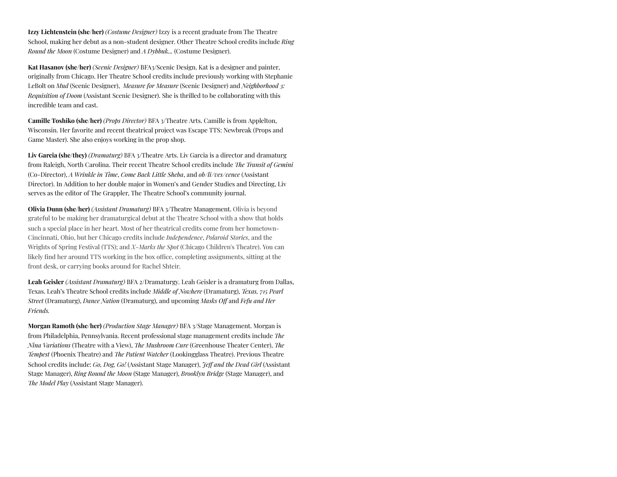**Izzy Lichtenstein (she/her)** *(Costume Designer)* Izzy is a recent graduate from The Theatre School, making her debut as a non-student designer. Other Theatre School credits include *Ring Round the Moon* (Costume Designer) and *A Dybbuk...* (Costume Designer).

**Kat Hasanov (she/her)** *(Scenic Designer)* BFA3/Scenic Design. Kat is a designer and painter, originally from Chicago. Her Theatre School credits include previously working with Stephanie LeBolt on *Mud* (Scenic Designer), *Measure for Measure* (Scenic Designer) and *Neighborhood 3: Requisition of Doom* (Assistant Scenic Designer). She is thrilled to be collaborating with this incredible team and cast.

**Camille Toshiko (she/her)** *(Props Director)* BFA 3/Theatre Arts. Camille is from Applelton, Wisconsin. Her favorite and recent theatrical project was Escape TTS: Newbreak (Props and Game Master). She also enjoys working in the prop shop.

**Liv Garcia (she/they)** *(Dramaturg)* BFA 3/Theatre Arts. Liv Garcia is a director and dramaturg from Raleigh, North Carolina. Their recent Theatre School credits include *The Transit of Gemini* (Co-Director), *A Wrinkle in Time*, *Come Back Little Sheba* , and *ob/li/ves/cence* (Assistant Director). In Addition to her double major in Women's and Gender Studies and Directing, Liv serves as the editor of The Grappler, The Theatre School's community journal.

**Olivia Dunn (she/her)** *(Assistant Dramaturg)* BFA 3/Theatre Management. Olivia is beyond grateful to be making her dramaturgical debut at the Theatre School with a show that holds such a special place in her heart. Most of her theatrical credits come from her hometown-Cincinnati, Ohio, but her Chicago credits include *Independence*, *Polaroid Stories*, and the Wrights of Spring Festival (TTS); and *X-Marks the Spot* (Chicago Children's Theatre). You can likely find her around TTS working in the box office, completing assignments, sitting at the front desk, or carrying books around for Rachel Shteir.

**Leah Geisler** *(Assistant Dramaturg)* BFA 2/Dramaturgy. Leah Geisler is a dramaturg from Dallas, Texas. Leah's Theatre School credits include *Middle of Nowhere* (Dramaturg), *Texas, 715 Pearl Street* (Dramaturg), *Dance Nation* (Dramaturg), and upcoming *Masks Off* and *Fefu and Her Friends.*

**Morgan Ramoth (she/her)** *(Production Stage Manager)* BFA 3/Stage Management. Morgan is from Philadelphia, Pennsylvania. Recent professional stage management credits include *The Nina Variations* (Theatre with a View), *The Mushroom Cure* (Greenhouse Theater Center), *The Tempest* (Phoenix Theatre) and *The Patient Watcher* (Lookingglass Theatre). Previous Theatre School credits include: *Go, Dog, Go!* (Assistant Stage Manager), *Je and the Dead Girl* (Assistant Stage Manager), *Ring Round the Moon* (Stage Manager), *Brooklyn Bridge* (Stage Manager), and *The Model Play* (Assistant Stage Manager).